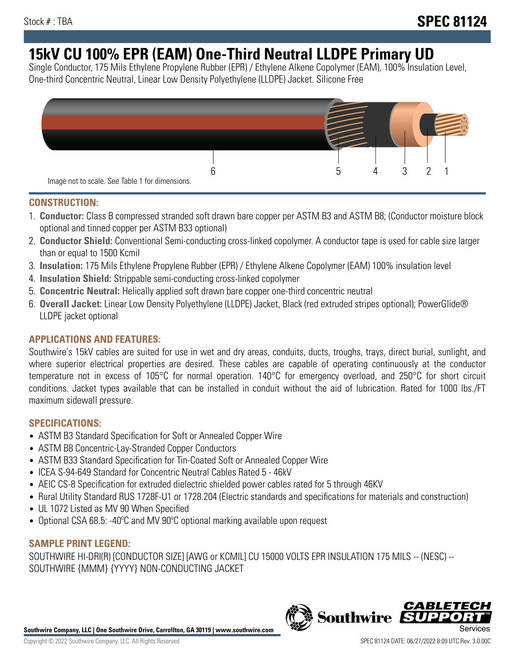# **15kV CU 100% EPR (EAM) One-Third Neutral LLDPE Primary UD**

Single Conductor, 175 Mils Ethylene Propylene Rubber (EPR) / Ethylene Alkene Copolymer (EAM), 100% Insulation Level, One-third Concentric Neutral, Linear Low Density Polyethylene (LLDPE) Jacket. Silicone Free



## **CONSTRUCTION:**

- 1. **Conductor:** Class B compressed stranded soft drawn bare copper per ASTM B3 and ASTM B8; (Conductor moisture block optional and tinned copper per ASTM B33 optional)
- 2. **Conductor Shield:** Conventional Semi-conducting cross-linked copolymer. A conductor tape is used for cable size larger than or equal to 1500 Kcmil
- 3. **Insulation:** 175 Mils Ethylene Propylene Rubber (EPR) / Ethylene Alkene Copolymer (EAM) 100% insulation level
- 4. **Insulation Shield:** Strippable semi-conducting cross-linked copolymer
- 5. **Concentric Neutral:** Helically applied soft drawn bare copper one-third concentric neutral
- 6. **Overall Jacket:** Linear Low Density Polyethylene (LLDPE) Jacket, Black (red extruded stripes optional); PowerGlide® LLDPE jacket optional

## **APPLICATIONS AND FEATURES:**

Southwire's 15kV cables are suited for use in wet and dry areas, conduits, ducts, troughs, trays, direct burial, sunlight, and where superior electrical properties are desired. These cables are capable of operating continuously at the conductor temperature not in excess of 105°C for normal operation. 140°C for emergency overload, and 250°C for short circuit conditions. Jacket types available that can be installed in conduit without the aid of lubrication. Rated for 1000 lbs./FT maximum sidewall pressure.

## **SPECIFICATIONS:**

- ASTM B3 Standard Specification for Soft or Annealed Copper Wire
- ASTM B8 Concentric-Lay-Stranded Copper Conductors
- ASTM B33 Standard Specification for Tin-Coated Soft or Annealed Copper Wire
- ICEA S-94-649 Standard for Concentric Neutral Cables Rated 5 46kV
- AEIC CS-8 Specification for extruded dielectric shielded power cables rated for 5 through 46KV
- Rural Utility Standard RUS 1728F-U1 or 1728.204 (Electric standards and specifications for materials and construction)
- UL 1072 Listed as MV 90 When Specified
- Optional CSA 68.5: -40°C and MV 90°C optional marking available upon request

# **SAMPLE PRINT LEGEND:**

SOUTHWIRE HI-DRI(R) [CONDUCTOR SIZE] [AWG or KCMIL] CU 15000 VOLTS EPR INSULATION 175 MILS -- (NESC) -- SOUTHWIRE {MMM} {YYYY} NON-CONDUCTING JACKET

**Southwire Company, LLC | One Southwire Drive, Carrollton, GA 30119 | www.southwire.com**